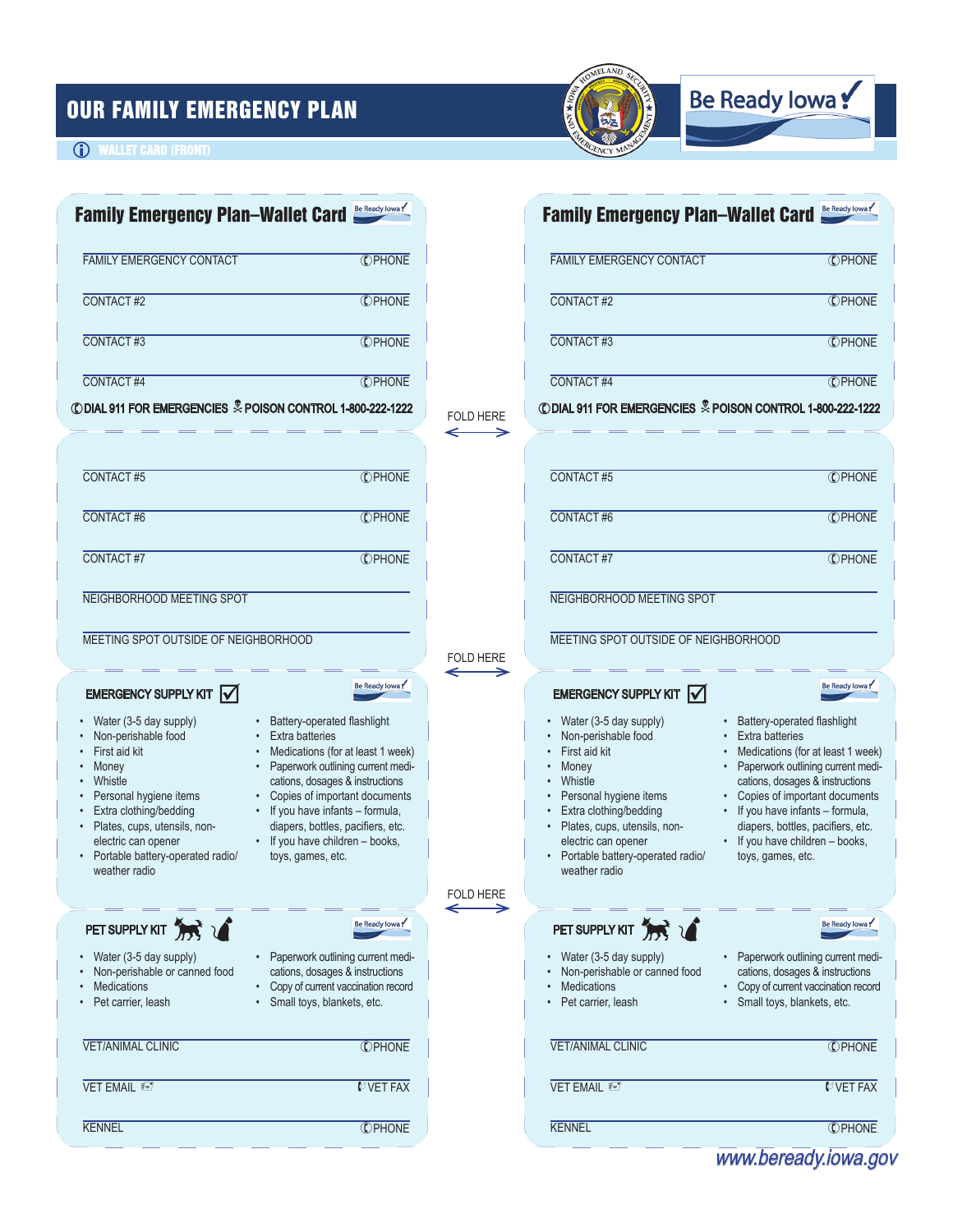# OUR FAMILY EMERGENCY PLAN



# Be Ready Iowa!

### **(i)** WALLET CARD (FRONT)

| Family Emergency Plan-Wallet Card Be Ready lowa!                                                                                                                                                                                                                                                                                                                                                                                                                                                                                                                                           |                                                    | Be Ready Iowa<br><b>Family Emergency Plan-Wallet Card</b>                                                                                                                                                                                                                                                                                                                                                                                                                                                                                |  |
|--------------------------------------------------------------------------------------------------------------------------------------------------------------------------------------------------------------------------------------------------------------------------------------------------------------------------------------------------------------------------------------------------------------------------------------------------------------------------------------------------------------------------------------------------------------------------------------------|----------------------------------------------------|------------------------------------------------------------------------------------------------------------------------------------------------------------------------------------------------------------------------------------------------------------------------------------------------------------------------------------------------------------------------------------------------------------------------------------------------------------------------------------------------------------------------------------------|--|
| <b>C</b> PHONE<br><b>FAMILY EMERGENCY CONTACT</b>                                                                                                                                                                                                                                                                                                                                                                                                                                                                                                                                          |                                                    | <b>FAMILY EMERGENCY CONTACT</b><br><b>C</b> PHONE                                                                                                                                                                                                                                                                                                                                                                                                                                                                                        |  |
| <b>CPHONE</b><br>CONTACT#2                                                                                                                                                                                                                                                                                                                                                                                                                                                                                                                                                                 | CONTACT#2                                          | <b>C</b> PHONE                                                                                                                                                                                                                                                                                                                                                                                                                                                                                                                           |  |
| CONTACT#3<br><b>C</b> PHONE                                                                                                                                                                                                                                                                                                                                                                                                                                                                                                                                                                | CONTACT#3                                          | <b>C</b> PHONE                                                                                                                                                                                                                                                                                                                                                                                                                                                                                                                           |  |
| <b>CPHONE</b><br>CONTACT#4                                                                                                                                                                                                                                                                                                                                                                                                                                                                                                                                                                 | CONTACT#4                                          | <b>CPHONE</b>                                                                                                                                                                                                                                                                                                                                                                                                                                                                                                                            |  |
| <b>CDIAL 911 FOR EMERGENCIES &amp; POISON CONTROL 1-800-222-1222</b>                                                                                                                                                                                                                                                                                                                                                                                                                                                                                                                       | <b>FOLD HERE</b>                                   | CODIAL 911 FOR EMERGENCIES & POISON CONTROL 1-800-222-1222                                                                                                                                                                                                                                                                                                                                                                                                                                                                               |  |
| CONTACT#5<br><b>CPHONE</b>                                                                                                                                                                                                                                                                                                                                                                                                                                                                                                                                                                 | CONTACT#5                                          | <b>C</b> PHONE                                                                                                                                                                                                                                                                                                                                                                                                                                                                                                                           |  |
| CONTACT#6<br><b>CPHONE</b>                                                                                                                                                                                                                                                                                                                                                                                                                                                                                                                                                                 | CONTACT#6                                          | <b>C</b> PHONE                                                                                                                                                                                                                                                                                                                                                                                                                                                                                                                           |  |
| CONTACT#7<br><b>C</b> PHONE                                                                                                                                                                                                                                                                                                                                                                                                                                                                                                                                                                | CONTACT#7                                          | <b>C</b> PHONE                                                                                                                                                                                                                                                                                                                                                                                                                                                                                                                           |  |
| NEIGHBORHOOD MEETING SPOT                                                                                                                                                                                                                                                                                                                                                                                                                                                                                                                                                                  |                                                    | NEIGHBORHOOD MEETING SPOT                                                                                                                                                                                                                                                                                                                                                                                                                                                                                                                |  |
| MEETING SPOT OUTSIDE OF NEIGHBORHOOD                                                                                                                                                                                                                                                                                                                                                                                                                                                                                                                                                       | <b>FOLD HERE</b>                                   | MEETING SPOT OUTSIDE OF NEIGHBORHOOD                                                                                                                                                                                                                                                                                                                                                                                                                                                                                                     |  |
| Be Ready Iowa!<br>EMERGENCY SUPPLY KIT $\sqrt{}$                                                                                                                                                                                                                                                                                                                                                                                                                                                                                                                                           |                                                    | Be Ready Iowa!<br>EMERGENCY SUPPLY KIT $\sqrt{}$                                                                                                                                                                                                                                                                                                                                                                                                                                                                                         |  |
| Water (3-5 day supply)<br>Battery-operated flashlight<br>Non-perishable food<br><b>Extra batteries</b><br>First aid kit<br>Medications (for at least 1 week)<br>Paperwork outlining current medi-<br>Money<br>Whistle<br>cations, dosages & instructions<br>Personal hygiene items<br>Copies of important documents<br>Extra clothing/bedding<br>• If you have infants - formula,<br>Plates, cups, utensils, non-<br>diapers, bottles, pacifiers, etc.<br>• If you have children - books,<br>electric can opener<br>Portable battery-operated radio/<br>toys, games, etc.<br>weather radio | First aid kit<br>Money<br>Whistle<br>weather radio | Water (3-5 day supply)<br>Battery-operated flashlight<br>Non-perishable food<br><b>Extra batteries</b><br>Medications (for at least 1 week)<br>Paperwork outlining current medi-<br>cations, dosages & instructions<br>Personal hygiene items<br>Copies of important documents<br>Extra clothing/bedding<br>• If you have infants - formula,<br>· Plates, cups, utensils, non-<br>diapers, bottles, pacifiers, etc.<br>• If you have children - books,<br>electric can opener<br>• Portable battery-operated radio/<br>toys, games, etc. |  |
|                                                                                                                                                                                                                                                                                                                                                                                                                                                                                                                                                                                            | FOLD HERE<br>←<br>→                                |                                                                                                                                                                                                                                                                                                                                                                                                                                                                                                                                          |  |
| PET SUPPLY KIT THE V<br>Be Ready Iowa!<br>Paperwork outlining current medi-<br>Water (3-5 day supply)<br>Non-perishable or canned food<br>cations, dosages & instructions<br><b>Medications</b><br>Copy of current vaccination record                                                                                                                                                                                                                                                                                                                                                      | <b>Medications</b>                                 | Be Ready Iowa!<br>PET SUPPLY KIT THE 1<br>• Water (3-5 day supply)<br>Paperwork outlining current medi-<br>Non-perishable or canned food<br>cations, dosages & instructions<br>• Copy of current vaccination record                                                                                                                                                                                                                                                                                                                      |  |
| Pet carrier, leash<br>Small toys, blankets, etc.                                                                                                                                                                                                                                                                                                                                                                                                                                                                                                                                           |                                                    | Pet carrier, leash<br>Small toys, blankets, etc.                                                                                                                                                                                                                                                                                                                                                                                                                                                                                         |  |
| <b>VET/ANIMAL CLINIC</b><br><b>C</b> PHONE                                                                                                                                                                                                                                                                                                                                                                                                                                                                                                                                                 |                                                    | <b>VET/ANIMAL CLINIC</b><br><b>C</b> PHONE                                                                                                                                                                                                                                                                                                                                                                                                                                                                                               |  |
| VET EMAIL ₹<br><b>MVET FAX</b>                                                                                                                                                                                                                                                                                                                                                                                                                                                                                                                                                             | VET EMAIL ₹                                        | <b>MVET FAX</b>                                                                                                                                                                                                                                                                                                                                                                                                                                                                                                                          |  |
| <b>KENNEL</b><br><b>CPHONE</b>                                                                                                                                                                                                                                                                                                                                                                                                                                                                                                                                                             | <b>KENNEL</b>                                      | <b>C</b> PHONE                                                                                                                                                                                                                                                                                                                                                                                                                                                                                                                           |  |

www.beready.iowa.gov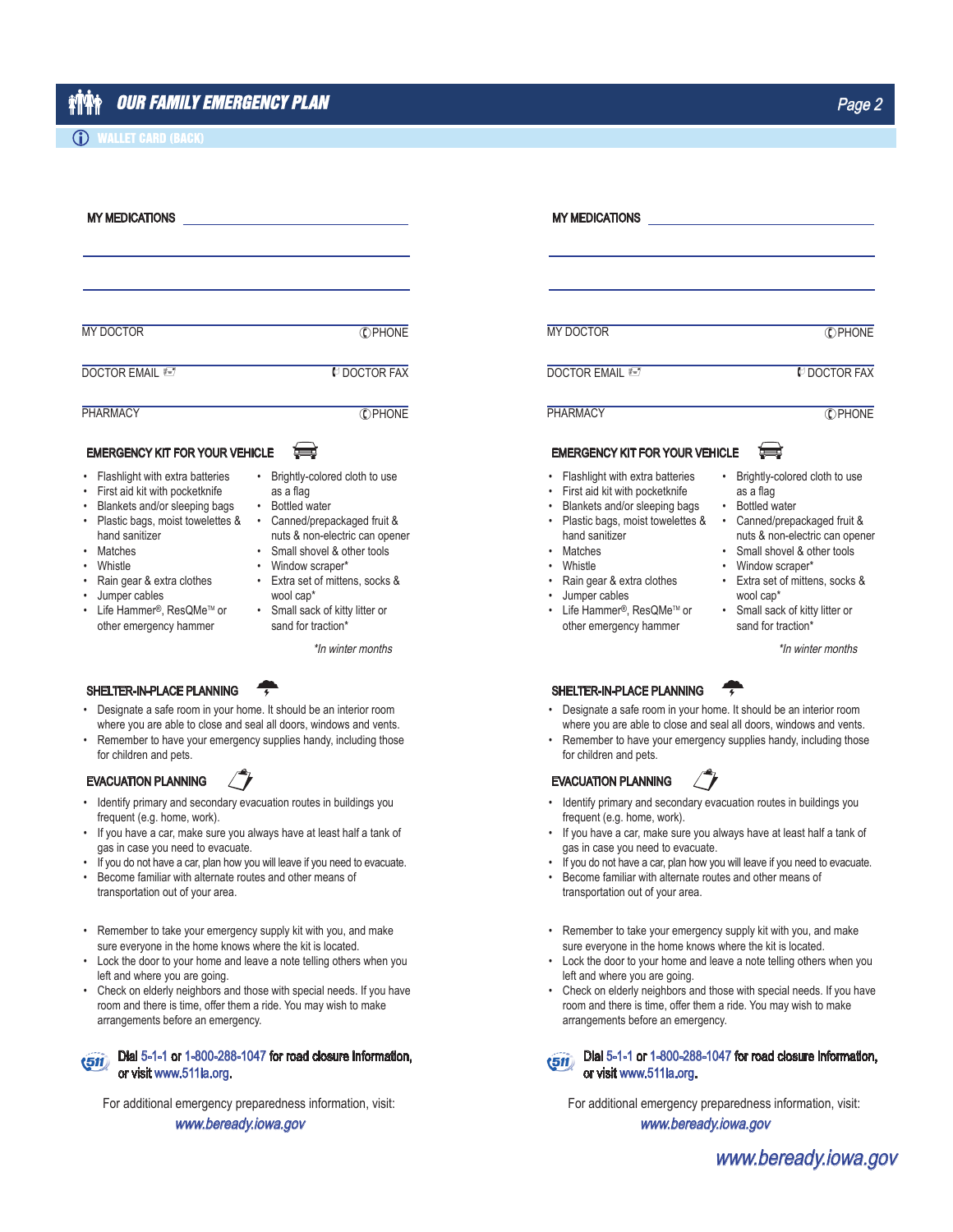#### **(i) WALLET CARD (BACK)**

| <b>MY MEDICATIONS</b>                                                                                                                                                                                                                                                                                           |                                                                                                                                                                                                                                                                                       | <b>MY MEDICATIONS</b>                                                                                                                                                                                                                                                                                               |                                                                                                                                                                                                                                                                                                         |  |  |
|-----------------------------------------------------------------------------------------------------------------------------------------------------------------------------------------------------------------------------------------------------------------------------------------------------------------|---------------------------------------------------------------------------------------------------------------------------------------------------------------------------------------------------------------------------------------------------------------------------------------|---------------------------------------------------------------------------------------------------------------------------------------------------------------------------------------------------------------------------------------------------------------------------------------------------------------------|---------------------------------------------------------------------------------------------------------------------------------------------------------------------------------------------------------------------------------------------------------------------------------------------------------|--|--|
| <b>MY DOCTOR</b>                                                                                                                                                                                                                                                                                                | <b>C</b> PHONE                                                                                                                                                                                                                                                                        | <b>MY DOCTOR</b>                                                                                                                                                                                                                                                                                                    | <b>C</b> PHONE                                                                                                                                                                                                                                                                                          |  |  |
| <b>DOCTOR EMAIL</b>                                                                                                                                                                                                                                                                                             | <b>M</b> DOCTOR FAX                                                                                                                                                                                                                                                                   | <b>DOCTOR EMAIL</b>                                                                                                                                                                                                                                                                                                 | <b><i>U</i></b> DOCTOR FAX                                                                                                                                                                                                                                                                              |  |  |
| <b>PHARMACY</b>                                                                                                                                                                                                                                                                                                 | <b>CPHONE</b>                                                                                                                                                                                                                                                                         | <b>PHARMACY</b>                                                                                                                                                                                                                                                                                                     | <b>CPHONE</b>                                                                                                                                                                                                                                                                                           |  |  |
| <b>EMERGENCY KIT FOR YOUR VEHICLE</b>                                                                                                                                                                                                                                                                           |                                                                                                                                                                                                                                                                                       | <b>EMERGENCY KIT FOR YOUR VEHICLE</b>                                                                                                                                                                                                                                                                               | نصبة                                                                                                                                                                                                                                                                                                    |  |  |
| • Flashlight with extra batteries<br>• First aid kit with pocketknife<br>Blankets and/or sleeping bags<br>· Plastic bags, moist towelettes &<br>hand sanitizer<br>• Matches<br>• Whistle<br>• Rain gear & extra clothes<br>• Jumper cables<br>• Life Hammer <sup>®</sup> . ResQMe™ or<br>other emergency hammer | Brightly-colored cloth to use<br>as a flag<br>• Bottled water<br>Canned/prepackaged fruit &<br>nuts & non-electric can opener<br>Small shovel & other tools<br>Window scraper*<br>Extra set of mittens, socks &<br>wool cap*<br>• Small sack of kitty litter or<br>sand for traction* | Flashlight with extra batteries<br>$\bullet$<br>First aid kit with pocketknife<br>Blankets and/or sleeping bags<br>Plastic bags, moist towelettes &<br>hand sanitizer<br><b>Matches</b><br>$\bullet$<br>Whistle<br>Rain gear & extra clothes<br>Jumper cables<br>Life Hammer®, ResQMe™ or<br>other emergency hammer | Brightly-colored cloth to use<br>as a flag<br><b>Bottled</b> water<br>$\bullet$<br>Canned/prepackaged fruit &<br>nuts & non-electric can opener<br>Small shovel & other tools<br>Window scraper*<br>Extra set of mittens, socks &<br>wool cap*<br>• Small sack of kitty litter or<br>sand for traction* |  |  |
|                                                                                                                                                                                                                                                                                                                 | *In winter months                                                                                                                                                                                                                                                                     |                                                                                                                                                                                                                                                                                                                     | *In winter months                                                                                                                                                                                                                                                                                       |  |  |
| SHELTER-IN-PLACE PLANNING                                                                                                                                                                                                                                                                                       |                                                                                                                                                                                                                                                                                       | SHELTER-IN-PLACE PLANNING                                                                                                                                                                                                                                                                                           |                                                                                                                                                                                                                                                                                                         |  |  |
| • Designate a safe room in your home. It should be an interior room                                                                                                                                                                                                                                             |                                                                                                                                                                                                                                                                                       |                                                                                                                                                                                                                                                                                                                     | Designate a safe room in your home. It should be an interior room                                                                                                                                                                                                                                       |  |  |

- where you are able to close and seal all doors, windows and vents. Remember to have your emergency supplies handy, including those
- for children and pets. EVACUATION PLANNING
- Identify primary and secondary evacuation routes in buildings you frequent (e.g. home, work).
- If you have a car, make sure you always have at least half a tank of gas in case you need to evacuate.
- If you do not have a car, plan how you will leave if you need to evacuate.
- Become familiar with alternate routes and other means of transportation out of your area.
- Remember to take your emergency supply kit with you, and make sure everyone in the home knows where the kit is located.
- Lock the door to your home and leave a note telling others when you left and where you are going.
- Check on elderly neighbors and those with special needs. If you have room and there is time, offer them a ride. You may wish to make arrangements before an emergency.

#### Dial 5-1-1 or 1-800-288-1047 for road closure information,  $(51)$ or visit www.511ia.org.

For additional emergency preparedness information, visit:

#### www.beready.iowa.gov

- where you are able to close and seal all doors, windows and vents.
- Remember to have your emergency supplies handy, including those for children and pets.

#### EVACUATION PLANNING

- Identify primary and secondary evacuation routes in buildings you frequent (e.g. home, work).
- If you have a car, make sure you always have at least half a tank of gas in case you need to evacuate.
- If you do not have a car, plan how you will leave if you need to evacuate.
- Become familiar with alternate routes and other means of transportation out of your area.
- Remember to take your emergency supply kit with you, and make sure everyone in the home knows where the kit is located.
- Lock the door to your home and leave a note telling others when you left and where you are going.
- Check on elderly neighbors and those with special needs. If you have room and there is time, offer them a ride. You may wish to make arrangements before an emergency.

#### Dial 5-1-1 or 1-800-288-1047 for road closure information,  $(51)$ or visit www.511ia.org.

For additional emergency preparedness information, visit:

www.beready.iowa.gov

www.beready.iowa.gov

- 
-